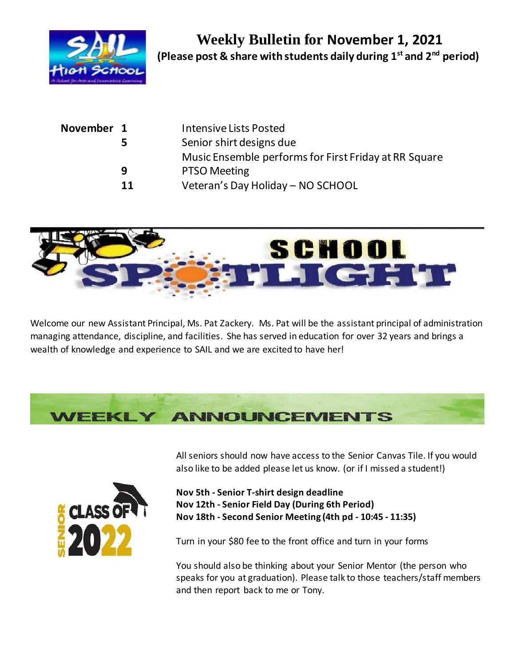

|    | <b>Intensive Lists Posted</b>                         |
|----|-------------------------------------------------------|
| 5. | Senior shirt designs due                              |
|    | Music Ensemble performs for First Friday at RR Square |
| q  | <b>PTSO Meeting</b>                                   |
| 11 | Veteran's Day Holiday - NO SCHOOL                     |
|    | November 1                                            |



Welcome our new Assistant Principal, Ms. Pat Zackery. Ms. Pat will be the assistant principal of administration managing attendance, discipline, and facilities. She has served in education for over 32 years and brings a wealth of knowledge and experience to SAIL and we are excited to have her!





All seniors should now have access to the Senior Canvas Tile. If you would also like to be added please let us know. (or if I missed a student!)

**Nov 5th - Senior T-shirt design deadline Nov 12th - Senior Field Day (During 6th Period) Nov 18th - Second Senior Meeting (4th pd - 10:45 - 11:35)**

Turn in your \$80 fee to the front office and turn in your forms

You should also be thinking about your Senior Mentor (the person who speaks for you at graduation). Please talk to those teachers/staff members and then report back to me or Tony.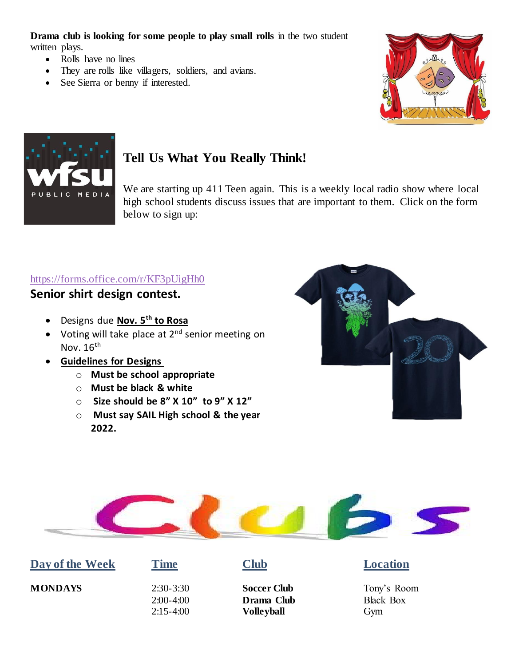**Drama club is looking for some people to play small rolls** in the two student written plays.

- Rolls have no lines
- They are rolls like villagers, soldiers, and avians.
- See Sierra or benny if interested.





# **Tell Us What You Really Think!**

We are starting up 411 Teen again. This is a weekly local radio show where local high school students discuss issues that are important to them. Click on the form below to sign up:

### [https://forms.office.com/r/KF3pUigHh0](https://nam11.safelinks.protection.outlook.com/?url=https%3A%2F%2Fforms.office.com%2Fr%2FKF3pUigHh0&data=04%7C01%7C%7Caf428b950c3f41b754b608d97cf93a2a%7C69292adba72a4537aa24d67a6f5642bc%7C0%7C0%7C637678232136243935%7CUnknown%7CTWFpbGZsb3d8eyJWIjoiMC4wLjAwMDAiLCJQIjoiV2luMzIiLCJBTiI6Ik1haWwiLCJXVCI6Mn0%3D%7C1000&sdata=4aXv5o3zsGlNGCjqJVsWQKpXH0%2FgNDaVuvvZ%2BzQqJcg%3D&reserved=0)

#### **Senior shirt design contest.**

- Designs due **Nov. 5th to Rosa**
- Voting will take place at 2<sup>nd</sup> senior meeting on Nov.  $16<sup>th</sup>$
- **Guidelines for Designs**
	- o **Must be school appropriate**
	- o **Must be black & white**
	- o **Size should be 8" X 10" to 9" X 12"**
	- o **Must say SAIL High school & the year 2022.**





|  |  | Day of the Week |
|--|--|-----------------|
|--|--|-----------------|

2:00-4:00 **Drama Club** Black Box  2:15-4:00 **Volleyball** Gym

## **Time Club Location**

**MONDAYS** 2:30-3:30 **Soccer Club** Tony's Room